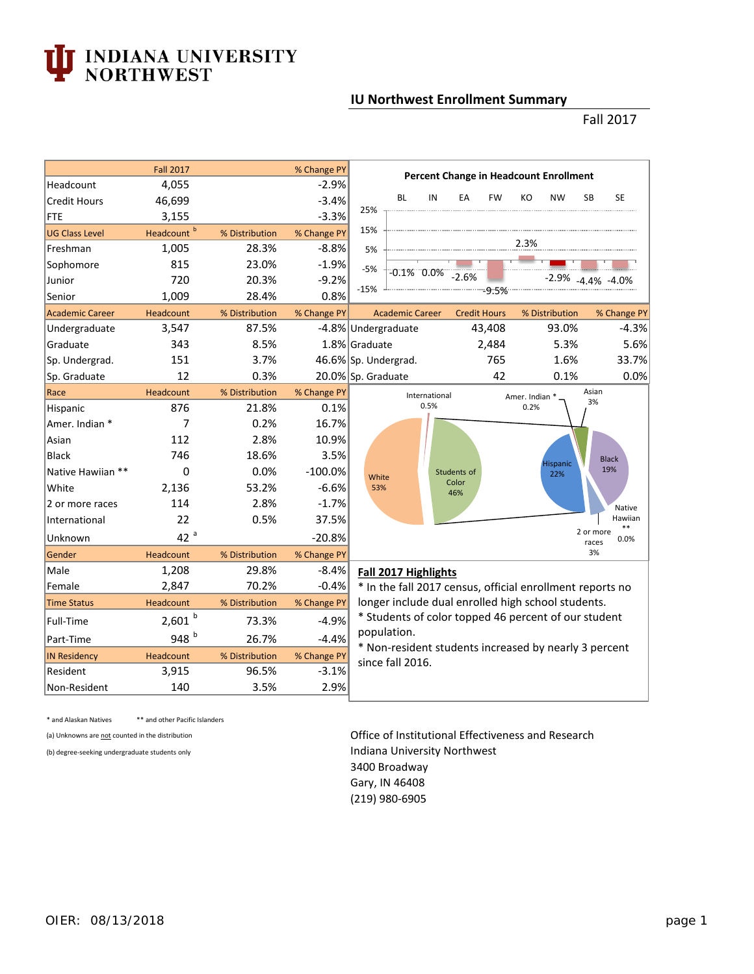## **J INDIANA UNIVERSITY<br>NORTHWEST**

## **IU Northwest Enrollment Summary**

## Fall 2017

|                        | <b>Fall 2017</b>       |                | % Change PY | <b>Percent Change in Headcount Enrollment</b>                                                                                                                                          |  |  |  |  |  |  |
|------------------------|------------------------|----------------|-------------|----------------------------------------------------------------------------------------------------------------------------------------------------------------------------------------|--|--|--|--|--|--|
| Headcount              | 4,055                  |                | $-2.9%$     |                                                                                                                                                                                        |  |  |  |  |  |  |
| <b>Credit Hours</b>    | 46,699                 |                | $-3.4%$     | <b>BL</b><br><b>FW</b><br>KO<br><b>NW</b><br><b>SB</b><br><b>SE</b><br>IN<br>EA                                                                                                        |  |  |  |  |  |  |
| FTE                    | 3,155                  |                | $-3.3%$     | 25%                                                                                                                                                                                    |  |  |  |  |  |  |
| <b>UG Class Level</b>  | Headcount <sup>b</sup> | % Distribution | % Change PY | 15%                                                                                                                                                                                    |  |  |  |  |  |  |
| Freshman               | 1,005                  | 28.3%          | $-8.8%$     | 2.3%<br>5%                                                                                                                                                                             |  |  |  |  |  |  |
| Sophomore              | 815                    | 23.0%          | $-1.9%$     | $-5%$<br>$-0.1\%$ 0.0%                                                                                                                                                                 |  |  |  |  |  |  |
| Junior                 | 720                    | 20.3%          | $-9.2%$     | $-2.6%$<br>$-2.9\%$ $-4.4\%$ $-4.0\%$                                                                                                                                                  |  |  |  |  |  |  |
| Senior                 | 1,009                  | 28.4%          | 0.8%        | $-15%$<br>-----------9:5%----                                                                                                                                                          |  |  |  |  |  |  |
| <b>Academic Career</b> | Headcount              | % Distribution | % Change PY | <b>Credit Hours</b><br>% Distribution<br>% Change PY<br><b>Academic Career</b>                                                                                                         |  |  |  |  |  |  |
| Undergraduate          | 3,547                  | 87.5%          |             | -4.8% Undergraduate<br>43,408<br>93.0%<br>$-4.3%$                                                                                                                                      |  |  |  |  |  |  |
| Graduate               | 343                    | 8.5%           |             | 1.8% Graduate<br>2,484<br>5.3%<br>5.6%                                                                                                                                                 |  |  |  |  |  |  |
| Sp. Undergrad.         | 151                    | 3.7%           |             | 1.6%<br>33.7%<br>46.6% Sp. Undergrad.<br>765                                                                                                                                           |  |  |  |  |  |  |
| Sp. Graduate           | 12                     | 0.3%           |             | 42<br>0.1%<br>0.0%<br>20.0% Sp. Graduate                                                                                                                                               |  |  |  |  |  |  |
| Race                   | Headcount              | % Distribution | % Change PY | Asian<br>International<br>Amer. Indian *                                                                                                                                               |  |  |  |  |  |  |
| Hispanic               | 876                    | 21.8%          | 0.1%        | 3%<br>0.5%<br>0.2%                                                                                                                                                                     |  |  |  |  |  |  |
| Amer. Indian *         | 7                      | 0.2%           | 16.7%       |                                                                                                                                                                                        |  |  |  |  |  |  |
| Asian                  | 112                    | 2.8%           | 10.9%       |                                                                                                                                                                                        |  |  |  |  |  |  |
| <b>Black</b>           | 746                    | 18.6%          | 3.5%        | <b>Black</b><br><b>Hispanic</b>                                                                                                                                                        |  |  |  |  |  |  |
| Native Hawiian **      | 0                      | 0.0%           | $-100.0%$   | 19%<br>Students of<br>22%<br>White                                                                                                                                                     |  |  |  |  |  |  |
| White                  | 2,136                  | 53.2%          | $-6.6%$     | Color<br>53%<br>46%                                                                                                                                                                    |  |  |  |  |  |  |
| 2 or more races        | 114                    | 2.8%           | $-1.7%$     | Native                                                                                                                                                                                 |  |  |  |  |  |  |
| International          | 22                     | 0.5%           | 37.5%       | Hawiian<br>**                                                                                                                                                                          |  |  |  |  |  |  |
| Unknown                | 42 <sup>a</sup>        |                | $-20.8%$    | 2 or more<br>0.0%<br>races                                                                                                                                                             |  |  |  |  |  |  |
| Gender                 | Headcount              | % Distribution | % Change PY | 3%                                                                                                                                                                                     |  |  |  |  |  |  |
| Male                   | 1,208                  | 29.8%          | $-8.4%$     | Fall 2017 Highlights                                                                                                                                                                   |  |  |  |  |  |  |
| Female                 | 2,847                  | 70.2%          | $-0.4%$     | * In the fall 2017 census, official enrollment reports no<br>longer include dual enrolled high school students.<br>* Students of color topped 46 percent of our student<br>population. |  |  |  |  |  |  |
| <b>Time Status</b>     | Headcount              | % Distribution | % Change PY |                                                                                                                                                                                        |  |  |  |  |  |  |
| Full-Time              | $2,601$ b              | 73.3%          | $-4.9%$     |                                                                                                                                                                                        |  |  |  |  |  |  |
| Part-Time              | 948 b                  | 26.7%          | $-4.4%$     |                                                                                                                                                                                        |  |  |  |  |  |  |
| <b>IN Residency</b>    | Headcount              | % Distribution | % Change PY | * Non-resident students increased by nearly 3 percent                                                                                                                                  |  |  |  |  |  |  |
| Resident               | 3,915                  | 96.5%          | $-3.1%$     | since fall 2016.                                                                                                                                                                       |  |  |  |  |  |  |
| Non-Resident           | 140                    | 3.5%           | 2.9%        |                                                                                                                                                                                        |  |  |  |  |  |  |

\* and Alaskan Natives \*\* and other Pacific Islanders

## (a) Unknowns are not counted in the distribution **Contact Contact Contact Contact Contact Contact Contact Contact Contact Contact Contact Contact Contact Contact Contact Contact Contact Contact Contact Contact Contact Cont** (b) degree-seeking undergraduate students only **Indiana University Northwest** 3400 Broadway Gary, IN 46408 (219) 980-6905